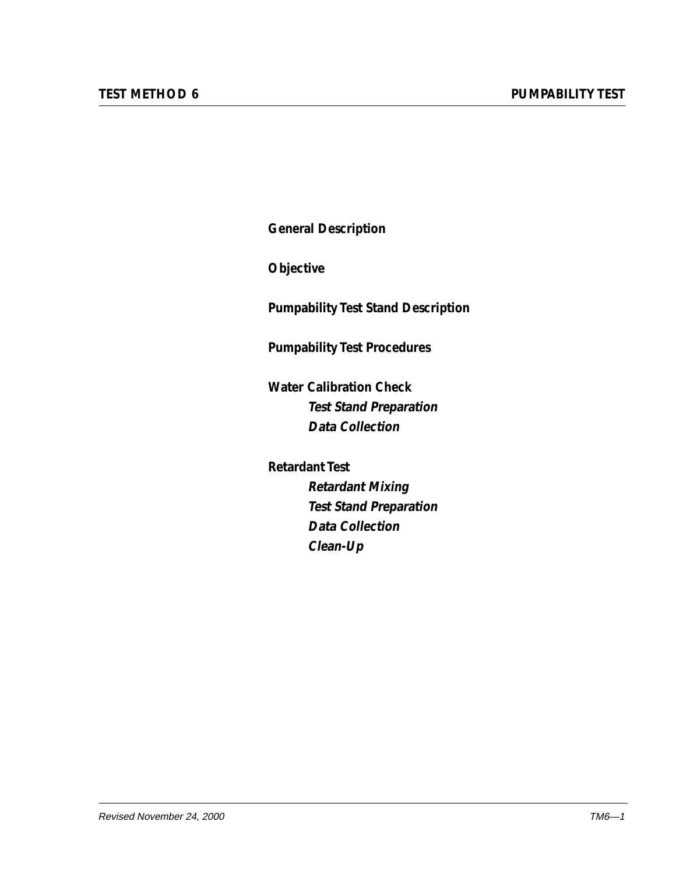**General Description**

**Objective**

**Pumpability Test Stand Description**

**Pumpability Test Procedures**

**Water Calibration Check Test Stand Preparation Data Collection**

**Retardant Test Retardant Mixing Test Stand Preparation Data Collection Clean-Up**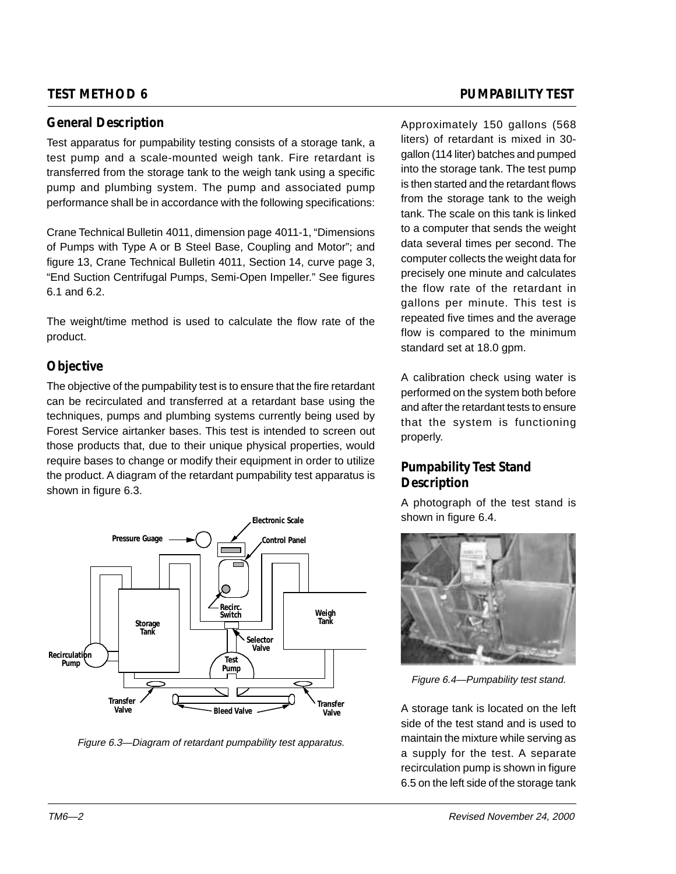### **General Description**

Test apparatus for pumpability testing consists of a storage tank, a test pump and a scale-mounted weigh tank. Fire retardant is transferred from the storage tank to the weigh tank using a specific pump and plumbing system. The pump and associated pump performance shall be in accordance with the following specifications:

Crane Technical Bulletin 4011, dimension page 4011-1, "Dimensions of Pumps with Type A or B Steel Base, Coupling and Motor"; and figure 13, Crane Technical Bulletin 4011, Section 14, curve page 3, "End Suction Centrifugal Pumps, Semi-Open Impeller." See figures 6.1 and 6.2.

The weight/time method is used to calculate the flow rate of the product.

# **Objective**

The objective of the pumpability test is to ensure that the fire retardant can be recirculated and transferred at a retardant base using the techniques, pumps and plumbing systems currently being used by Forest Service airtanker bases. This test is intended to screen out those products that, due to their unique physical properties, would require bases to change or modify their equipment in order to utilize the product. A diagram of the retardant pumpability test apparatus is shown in figure 6.3.



Figure 6.3—Diagram of retardant pumpability test apparatus.

### **TEST METHOD 6 PUMPABILITY TEST**

Approximately 150 gallons (568 liters) of retardant is mixed in 30 gallon (114 liter) batches and pumped into the storage tank. The test pump is then started and the retardant flows from the storage tank to the weigh tank. The scale on this tank is linked to a computer that sends the weight data several times per second. The computer collects the weight data for precisely one minute and calculates the flow rate of the retardant in gallons per minute. This test is repeated five times and the average flow is compared to the minimum standard set at 18.0 gpm.

A calibration check using water is performed on the system both before and after the retardant tests to ensure that the system is functioning properly.

# **Pumpability Test Stand Description**

A photograph of the test stand is shown in figure 6.4.



Figure 6.4—Pumpability test stand.

A storage tank is located on the left side of the test stand and is used to maintain the mixture while serving as a supply for the test. A separate recirculation pump is shown in figure 6.5 on the left side of the storage tank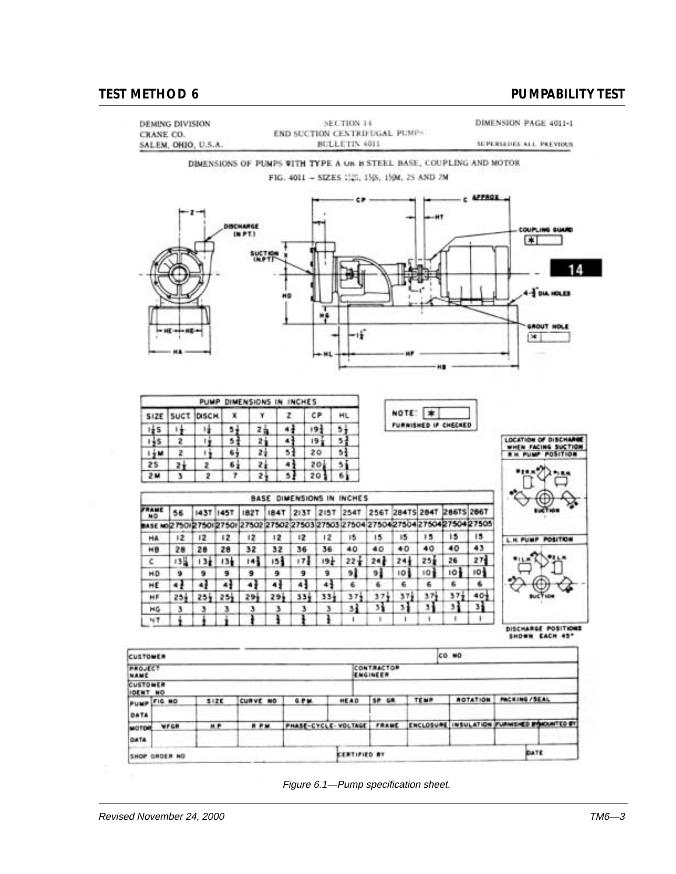

Figure 6.1—Pump specification sheet.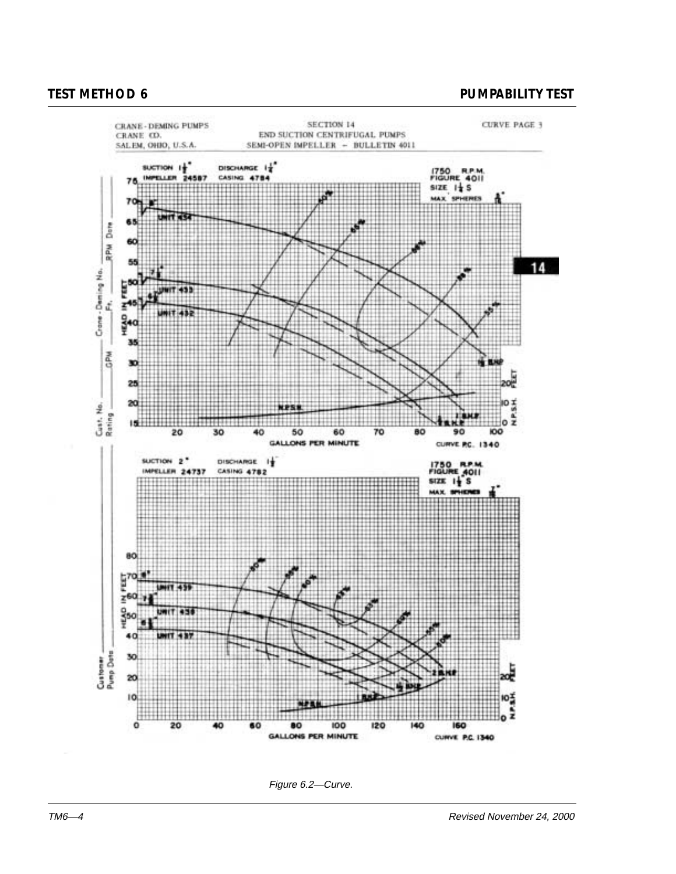

Figure 6.2—Curve.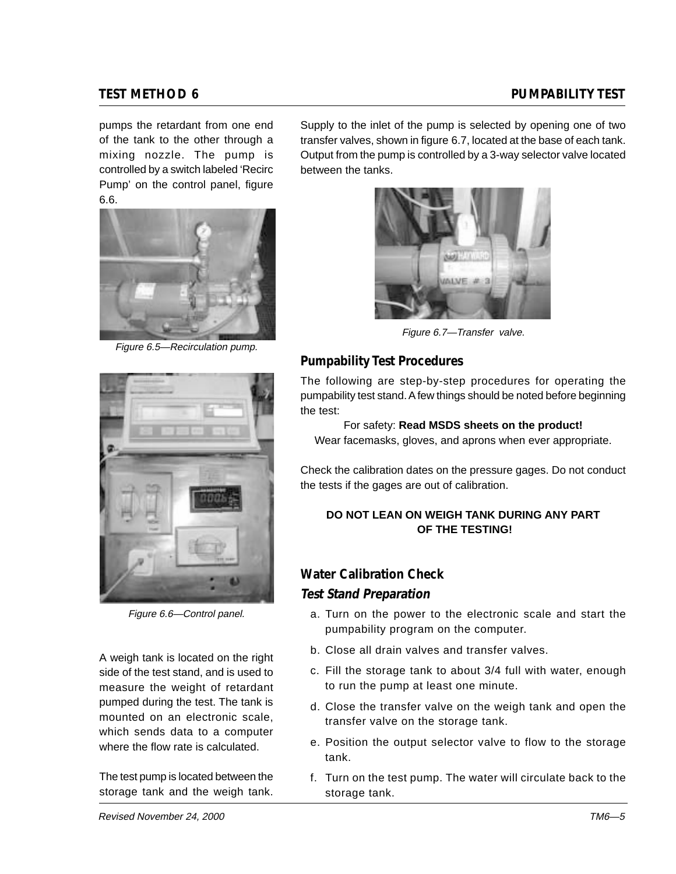pumps the retardant from one end of the tank to the other through a mixing nozzle. The pump is controlled by a switch labeled 'Recirc Pump' on the control panel, figure 6.6.



Figure 6.5—Recirculation pump.



Figure 6.6—Control panel.

A weigh tank is located on the right side of the test stand, and is used to measure the weight of retardant pumped during the test. The tank is mounted on an electronic scale, which sends data to a computer where the flow rate is calculated.

The test pump is located between the storage tank and the weigh tank.

Supply to the inlet of the pump is selected by opening one of two transfer valves, shown in figure 6.7, located at the base of each tank. Output from the pump is controlled by a 3-way selector valve located between the tanks.



Figure 6.7—Transfer valve.

# **Pumpability Test Procedures**

The following are step-by-step procedures for operating the pumpability test stand. A few things should be noted before beginning the test:

For safety: **Read MSDS sheets on the product!** Wear facemasks, gloves, and aprons when ever appropriate.

Check the calibration dates on the pressure gages. Do not conduct the tests if the gages are out of calibration.

### **DO NOT LEAN ON WEIGH TANK DURING ANY PART OF THE TESTING!**

# **Water Calibration Check Test Stand Preparation**

- a. Turn on the power to the electronic scale and start the pumpability program on the computer.
- b. Close all drain valves and transfer valves.
- c. Fill the storage tank to about 3/4 full with water, enough to run the pump at least one minute.
- d. Close the transfer valve on the weigh tank and open the transfer valve on the storage tank.
- e. Position the output selector valve to flow to the storage tank.
- f. Turn on the test pump. The water will circulate back to the storage tank.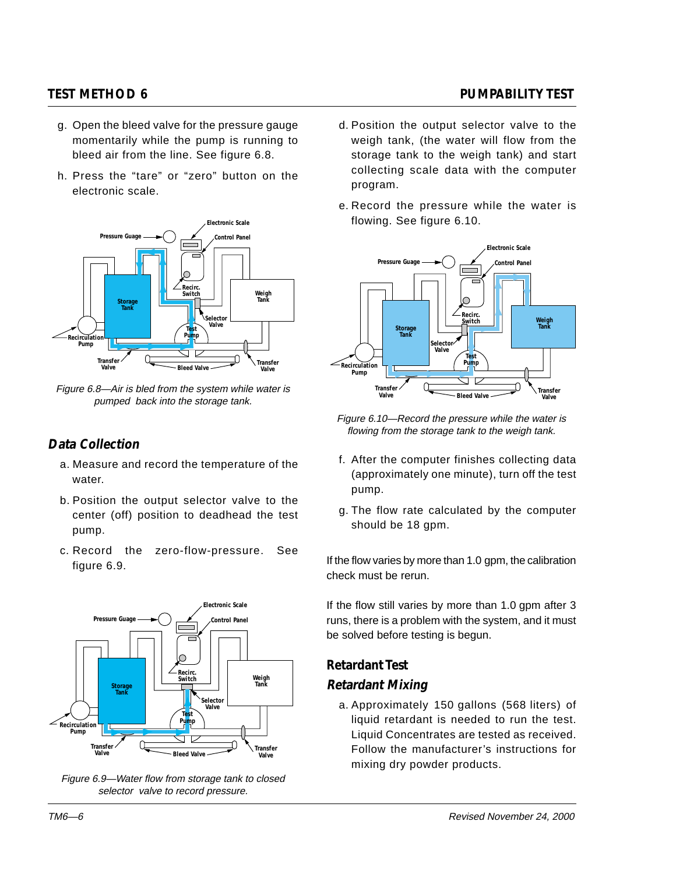- g. Open the bleed valve for the pressure gauge momentarily while the pump is running to bleed air from the line. See figure 6.8.
- h. Press the "tare" or "zero" button on the electronic scale.



Figure 6.8—Air is bled from the system while water is pumped back into the storage tank.

# **Data Collection**

- a. Measure and record the temperature of the water.
- b. Position the output selector valve to the center (off) position to deadhead the test pump.
- c. Record the zero-flow-pressure. See figure 6.9.



Figure 6.9—Water flow from storage tank to closed selector valve to record pressure.

- d. Position the output selector valve to the weigh tank, (the water will flow from the storage tank to the weigh tank) and start collecting scale data with the computer program.
- e. Record the pressure while the water is flowing. See figure 6.10.



Figure 6.10—Record the pressure while the water is flowing from the storage tank to the weigh tank.

- f. After the computer finishes collecting data (approximately one minute), turn off the test pump.
- g. The flow rate calculated by the computer should be 18 gpm.

If the flow varies by more than 1.0 gpm, the calibration check must be rerun.

If the flow still varies by more than 1.0 gpm after 3 runs, there is a problem with the system, and it must be solved before testing is begun.

# **Retardant Test**

### **Retardant Mixing**

a. Approximately 150 gallons (568 liters) of liquid retardant is needed to run the test. Liquid Concentrates are tested as received. Follow the manufacturer's instructions for mixing dry powder products.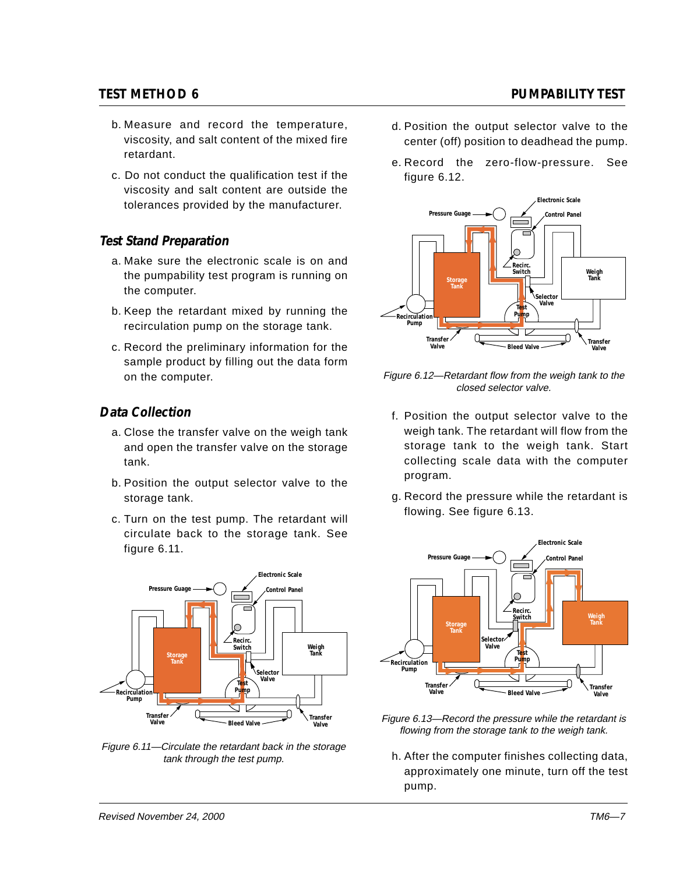- b. Measure and record the temperature, viscosity, and salt content of the mixed fire retardant.
- c. Do not conduct the qualification test if the viscosity and salt content are outside the tolerances provided by the manufacturer.

## **Test Stand Preparation**

- a. Make sure the electronic scale is on and the pumpability test program is running on the computer.
- b. Keep the retardant mixed by running the recirculation pump on the storage tank.
- c. Record the preliminary information for the sample product by filling out the data form on the computer.

# **Data Collection**

- a. Close the transfer valve on the weigh tank and open the transfer valve on the storage tank.
- b. Position the output selector valve to the storage tank.
- c. Turn on the test pump. The retardant will circulate back to the storage tank. See figure 6.11.



Figure 6.11—Circulate the retardant back in the storage tank through the test pump.

### d. Position the output selector valve to the center (off) position to deadhead the pump.

e. Record the zero-flow-pressure. See figure 6.12.



Figure 6.12—Retardant flow from the weigh tank to the closed selector valve.

- f. Position the output selector valve to the weigh tank. The retardant will flow from the storage tank to the weigh tank. Start collecting scale data with the computer program.
- g. Record the pressure while the retardant is flowing. See figure 6.13.



- Figure 6.13—Record the pressure while the retardant is flowing from the storage tank to the weigh tank.
	- h. After the computer finishes collecting data, approximately one minute, turn off the test pump.